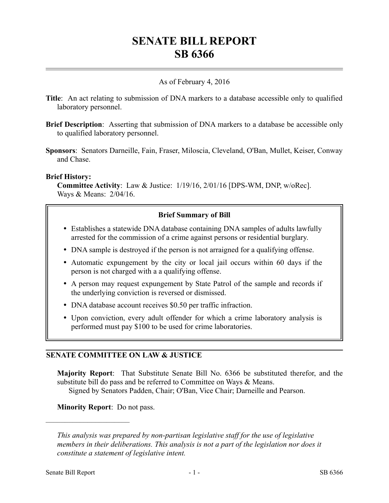# **SENATE BILL REPORT SB 6366**

## As of February 4, 2016

- **Title**: An act relating to submission of DNA markers to a database accessible only to qualified laboratory personnel.
- **Brief Description**: Asserting that submission of DNA markers to a database be accessible only to qualified laboratory personnel.
- **Sponsors**: Senators Darneille, Fain, Fraser, Miloscia, Cleveland, O'Ban, Mullet, Keiser, Conway and Chase.

### **Brief History:**

**Committee Activity**: Law & Justice: 1/19/16, 2/01/16 [DPS-WM, DNP, w/oRec]. Ways & Means: 2/04/16.

## **Brief Summary of Bill**

- Establishes a statewide DNA database containing DNA samples of adults lawfully arrested for the commission of a crime against persons or residential burglary.
- DNA sample is destroyed if the person is not arraigned for a qualifying offense.
- Automatic expungement by the city or local jail occurs within 60 days if the person is not charged with a a qualifying offense.
- A person may request expungement by State Patrol of the sample and records if the underlying conviction is reversed or dismissed.
- DNA database account receives \$0.50 per traffic infraction.
- Upon conviction, every adult offender for which a crime laboratory analysis is performed must pay \$100 to be used for crime laboratories.

## **SENATE COMMITTEE ON LAW & JUSTICE**

**Majority Report**: That Substitute Senate Bill No. 6366 be substituted therefor, and the substitute bill do pass and be referred to Committee on Ways & Means. Signed by Senators Padden, Chair; O'Ban, Vice Chair; Darneille and Pearson.

**Minority Report**: Do not pass.

––––––––––––––––––––––

*This analysis was prepared by non-partisan legislative staff for the use of legislative members in their deliberations. This analysis is not a part of the legislation nor does it constitute a statement of legislative intent.*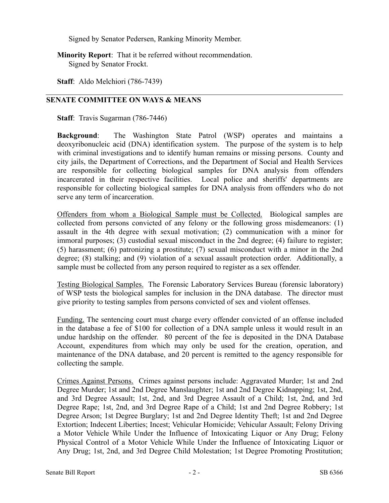Signed by Senator Pedersen, Ranking Minority Member.

**Minority Report**: That it be referred without recommendation. Signed by Senator Frockt.

**Staff**: Aldo Melchiori (786-7439)

## **SENATE COMMITTEE ON WAYS & MEANS**

**Staff**: Travis Sugarman (786-7446)

**Background**: The Washington State Patrol (WSP) operates and maintains a deoxyribonucleic acid (DNA) identification system. The purpose of the system is to help with criminal investigations and to identify human remains or missing persons. County and city jails, the Department of Corrections, and the Department of Social and Health Services are responsible for collecting biological samples for DNA analysis from offenders incarcerated in their respective facilities. Local police and sheriffs' departments are responsible for collecting biological samples for DNA analysis from offenders who do not serve any term of incarceration.

Offenders from whom a Biological Sample must be Collected. Biological samples are collected from persons convicted of any felony or the following gross misdemeanors: (1) assault in the 4th degree with sexual motivation; (2) communication with a minor for immoral purposes; (3) custodial sexual misconduct in the 2nd degree; (4) failure to register; (5) harassment; (6) patronizing a prostitute; (7) sexual misconduct with a minor in the 2nd degree; (8) stalking; and (9) violation of a sexual assault protection order. Additionally, a sample must be collected from any person required to register as a sex offender.

Testing Biological Samples. The Forensic Laboratory Services Bureau (forensic laboratory) of WSP tests the biological samples for inclusion in the DNA database. The director must give priority to testing samples from persons convicted of sex and violent offenses.

Funding. The sentencing court must charge every offender convicted of an offense included in the database a fee of \$100 for collection of a DNA sample unless it would result in an undue hardship on the offender. 80 percent of the fee is deposited in the DNA Database Account, expenditures from which may only be used for the creation, operation, and maintenance of the DNA database, and 20 percent is remitted to the agency responsible for collecting the sample.

Crimes Against Persons. Crimes against persons include: Aggravated Murder; 1st and 2nd Degree Murder; 1st and 2nd Degree Manslaughter; 1st and 2nd Degree Kidnapping; 1st, 2nd, and 3rd Degree Assault; 1st, 2nd, and 3rd Degree Assault of a Child; 1st, 2nd, and 3rd Degree Rape; 1st, 2nd, and 3rd Degree Rape of a Child; 1st and 2nd Degree Robbery; 1st Degree Arson; 1st Degree Burglary; 1st and 2nd Degree Identity Theft; 1st and 2nd Degree Extortion; Indecent Liberties; Incest; Vehicular Homicide; Vehicular Assault; Felony Driving a Motor Vehicle While Under the Influence of Intoxicating Liquor or Any Drug; Felony Physical Control of a Motor Vehicle While Under the Influence of Intoxicating Liquor or Any Drug; 1st, 2nd, and 3rd Degree Child Molestation; 1st Degree Promoting Prostitution;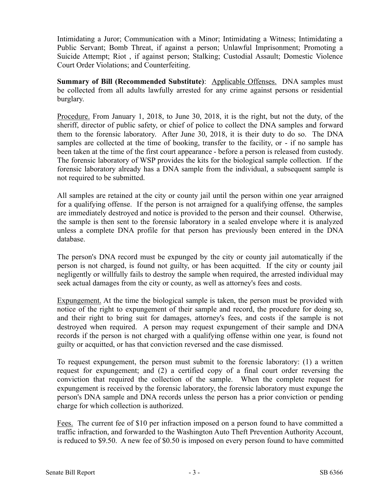Intimidating a Juror; Communication with a Minor; Intimidating a Witness; Intimidating a Public Servant; Bomb Threat, if against a person; Unlawful Imprisonment; Promoting a Suicide Attempt; Riot , if against person; Stalking; Custodial Assault; Domestic Violence Court Order Violations; and Counterfeiting.

**Summary of Bill (Recommended Substitute)**: Applicable Offenses. DNA samples must be collected from all adults lawfully arrested for any crime against persons or residential burglary.

Procedure. From January 1, 2018, to June 30, 2018, it is the right, but not the duty, of the sheriff, director of public safety, or chief of police to collect the DNA samples and forward them to the forensic laboratory. After June 30, 2018, it is their duty to do so. The DNA samples are collected at the time of booking, transfer to the facility, or - if no sample has been taken at the time of the first court appearance - before a person is released from custody. The forensic laboratory of WSP provides the kits for the biological sample collection. If the forensic laboratory already has a DNA sample from the individual, a subsequent sample is not required to be submitted.

All samples are retained at the city or county jail until the person within one year arraigned for a qualifying offense. If the person is not arraigned for a qualifying offense, the samples are immediately destroyed and notice is provided to the person and their counsel. Otherwise, the sample is then sent to the forensic laboratory in a sealed envelope where it is analyzed unless a complete DNA profile for that person has previously been entered in the DNA database.

The person's DNA record must be expunged by the city or county jail automatically if the person is not charged, is found not guilty, or has been acquitted. If the city or county jail negligently or willfully fails to destroy the sample when required, the arrested individual may seek actual damages from the city or county, as well as attorney's fees and costs.

Expungement. At the time the biological sample is taken, the person must be provided with notice of the right to expungement of their sample and record, the procedure for doing so, and their right to bring suit for damages, attorney's fees, and costs if the sample is not destroyed when required. A person may request expungement of their sample and DNA records if the person is not charged with a qualifying offense within one year, is found not guilty or acquitted, or has that conviction reversed and the case dismissed.

To request expungement, the person must submit to the forensic laboratory: (1) a written request for expungement; and (2) a certified copy of a final court order reversing the conviction that required the collection of the sample. When the complete request for expungement is received by the forensic laboratory, the forensic laboratory must expunge the person's DNA sample and DNA records unless the person has a prior conviction or pending charge for which collection is authorized.

Fees. The current fee of \$10 per infraction imposed on a person found to have committed a traffic infraction, and forwarded to the Washington Auto Theft Prevention Authority Account, is reduced to \$9.50. A new fee of \$0.50 is imposed on every person found to have committed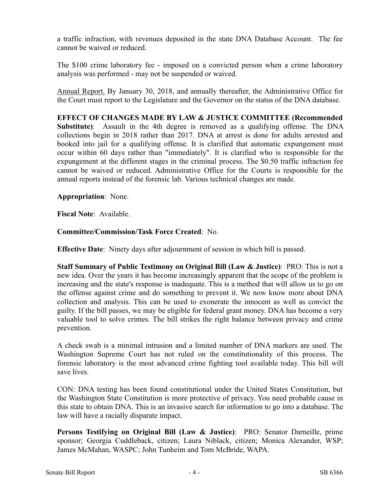a traffic infraction, with revenues deposited in the state DNA Database Account. The fee cannot be waived or reduced.

The \$100 crime laboratory fee - imposed on a convicted person when a crime laboratory analysis was performed - may not be suspended or waived.

Annual Report. By January 30, 2018, and annually thereafter, the Administrative Office for the Court must report to the Legislature and the Governor on the status of the DNA database.

**EFFECT OF CHANGES MADE BY LAW & JUSTICE COMMITTEE (Recommended Substitute)**: Assault in the 4th degree is removed as a qualifying offense. The DNA collections begin in 2018 rather than 2017. DNA at arrest is done for adults arrested and booked into jail for a qualifying offense. It is clarified that automatic expungement must occur within 60 days rather than "immediately". It is clarified who is responsible for the expungement at the different stages in the criminal process. The \$0.50 traffic infraction fee cannot be waived or reduced. Administrative Office for the Courts is responsible for the annual reports instead of the forensic lab. Various technical changes are made.

**Appropriation**: None.

**Fiscal Note**: Available.

**Committee/Commission/Task Force Created**: No.

**Effective Date**: Ninety days after adjournment of session in which bill is passed.

**Staff Summary of Public Testimony on Original Bill (Law & Justice)**: PRO: This is not a new idea. Over the years it has become increasingly apparent that the scope of the problem is increasing and the state's response is inadequate. This is a method that will allow us to go on the offense against crime and do something to prevent it. We now know more about DNA collection and analysis. This can be used to exonerate the innocent as well as convict the guilty. If the bill passes, we may be eligible for federal grant money. DNA has become a very valuable tool to solve crimes. The bill strikes the right balance between privacy and crime prevention.

A check swab is a minimal intrusion and a limited number of DNA markers are used. The Washington Supreme Court has not ruled on the constitutionality of this process. The forensic laboratory is the most advanced crime fighting tool available today. This bill will save lives.

CON: DNA testing has been found constitutional under the United States Constitution, but the Washington State Constitution is more protective of privacy. You need probable cause in this state to obtain DNA. This is an invasive search for information to go into a database. The law will have a racially disparate impact.

**Persons Testifying on Original Bill (Law & Justice)**: PRO: Senator Darneille, prime sponsor; Georgia Cuddleback, citizen; Laura Niblack, citizen; Monica Alexander, WSP; James McMahan, WASPC; John Tunheim and Tom McBride, WAPA.